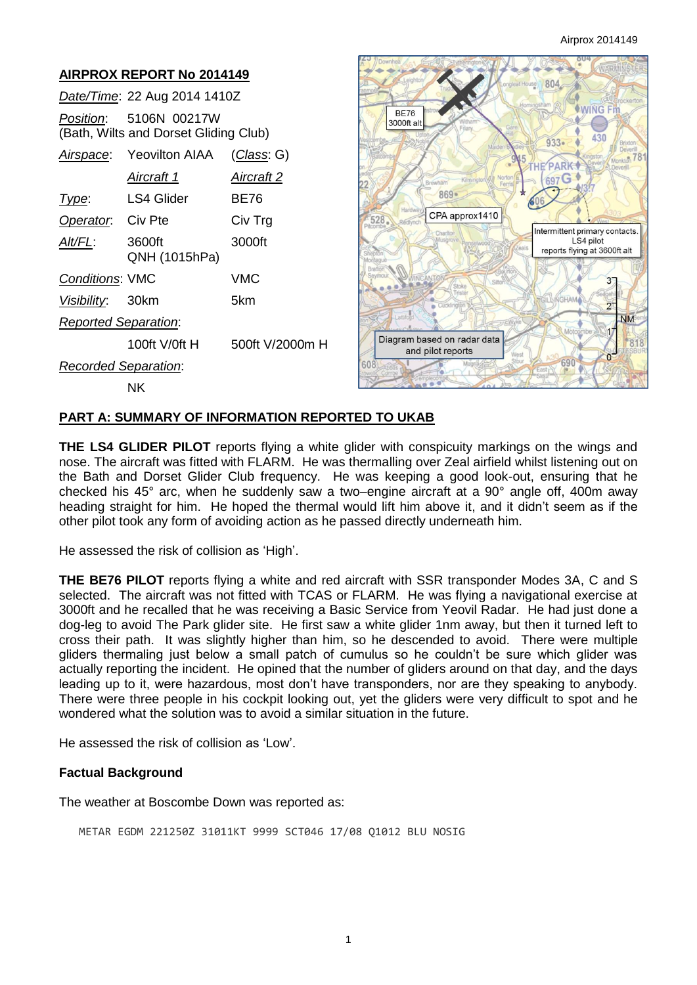#### **AIRPROX REPORT No 2014149**  804 *Date/Time*: 22 Aug 2014 1410Z **WING Fm BF76** *Position*: 5106N 00217W 3000ft alt (Bath, Wilts and Dorset Gliding Club) 430  $933 -$ *Airspace*: Yeovilton AIAA (*Class*: G) **PARK** 697G *Aircraft 1 Aircraft 2*  $869.$ **Type:** LS4 Glider BE76 CPA approx1410 **Operator:** Civ Pte Civ Trg 528 Intermittent primary contacts *Alt/FL*: 3600ft 3000ft LS4 pilot reports flying at 3600ft alt QNH (1015hPa) *Conditions*: VMC VMC  $3<sup>-</sup>$ *Visibility*: 30km 5km  $\overline{2}$ **NM** *Reported Separation*: Diagram based on radar data 100ft V/0ft H 500ft V/2000m H 818 and pilot reports  $\alpha$ 690 *Recorded Separation*: NK

## **PART A: SUMMARY OF INFORMATION REPORTED TO UKAB**

**THE LS4 GLIDER PILOT** reports flying a white glider with conspicuity markings on the wings and nose. The aircraft was fitted with FLARM. He was thermalling over Zeal airfield whilst listening out on the Bath and Dorset Glider Club frequency. He was keeping a good look-out, ensuring that he checked his 45° arc, when he suddenly saw a two–engine aircraft at a 90° angle off, 400m away heading straight for him. He hoped the thermal would lift him above it, and it didn't seem as if the other pilot took any form of avoiding action as he passed directly underneath him.

He assessed the risk of collision as 'High'.

**THE BE76 PILOT** reports flying a white and red aircraft with SSR transponder Modes 3A, C and S selected. The aircraft was not fitted with TCAS or FLARM. He was flying a navigational exercise at 3000ft and he recalled that he was receiving a Basic Service from Yeovil Radar. He had just done a dog-leg to avoid The Park glider site. He first saw a white glider 1nm away, but then it turned left to cross their path. It was slightly higher than him, so he descended to avoid. There were multiple gliders thermaling just below a small patch of cumulus so he couldn't be sure which glider was actually reporting the incident. He opined that the number of gliders around on that day, and the days leading up to it, were hazardous, most don't have transponders, nor are they speaking to anybody. There were three people in his cockpit looking out, yet the gliders were very difficult to spot and he wondered what the solution was to avoid a similar situation in the future.

He assessed the risk of collision as 'Low'.

#### **Factual Background**

The weather at Boscombe Down was reported as:

METAR EGDM 221250Z 31011KT 9999 SCT046 17/08 Q1012 BLU NOSIG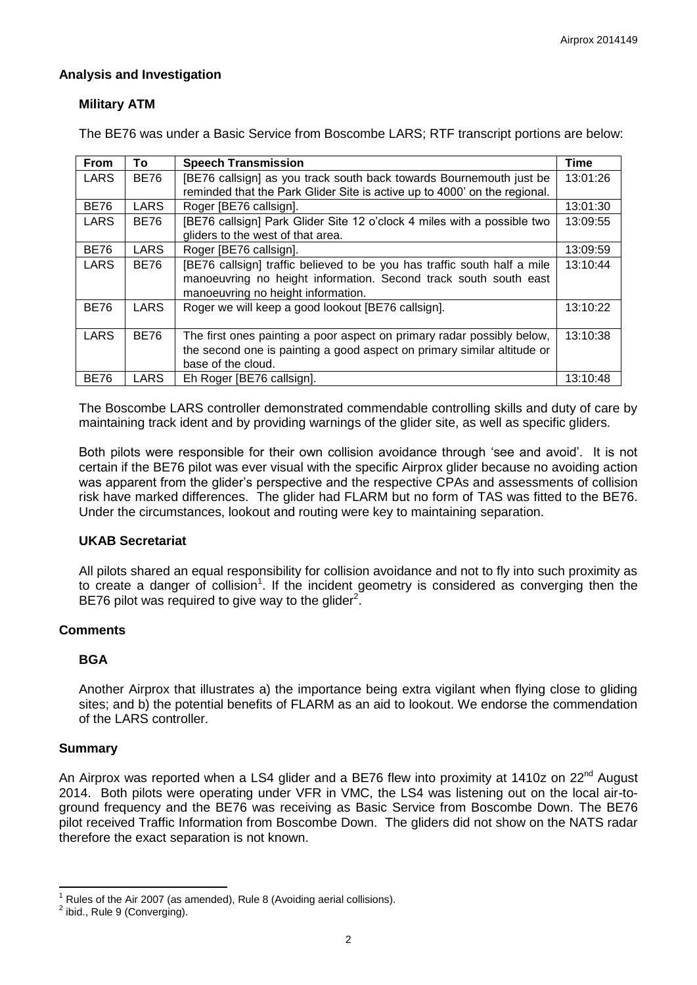## **Analysis and Investigation**

# **Military ATM**

The BE76 was under a Basic Service from Boscombe LARS; RTF transcript portions are below:

| From        | To          | <b>Speech Transmission</b>                                                | <b>Time</b> |
|-------------|-------------|---------------------------------------------------------------------------|-------------|
| <b>LARS</b> | <b>BE76</b> | [BE76 callsign] as you track south back towards Bournemouth just be       | 13:01:26    |
|             |             | reminded that the Park Glider Site is active up to 4000' on the regional. |             |
| <b>BE76</b> | <b>LARS</b> | Roger [BE76 callsign].                                                    | 13:01:30    |
| LARS        | <b>BE76</b> | [BE76 callsign] Park Glider Site 12 o'clock 4 miles with a possible two   | 13:09:55    |
|             |             | gliders to the west of that area.                                         |             |
| <b>BE76</b> | LARS        | Roger [BE76 callsign].                                                    | 13:09:59    |
| <b>LARS</b> | <b>BE76</b> | [BE76 callsign] traffic believed to be you has traffic south half a mile  | 13:10:44    |
|             |             | manoeuvring no height information. Second track south south east          |             |
|             |             | manoeuvring no height information.                                        |             |
| <b>BE76</b> | LARS        | Roger we will keep a good lookout [BE76 callsign].                        | 13:10:22    |
|             |             |                                                                           |             |
| <b>LARS</b> | <b>BE76</b> | The first ones painting a poor aspect on primary radar possibly below,    | 13:10:38    |
|             |             | the second one is painting a good aspect on primary similar altitude or   |             |
|             |             | base of the cloud.                                                        |             |
| <b>BE76</b> | LARS        | Eh Roger [BE76 callsign].                                                 | 13:10:48    |

The Boscombe LARS controller demonstrated commendable controlling skills and duty of care by maintaining track ident and by providing warnings of the glider site, as well as specific gliders.

Both pilots were responsible for their own collision avoidance through 'see and avoid'. It is not certain if the BE76 pilot was ever visual with the specific Airprox glider because no avoiding action was apparent from the glider's perspective and the respective CPAs and assessments of collision risk have marked differences. The glider had FLARM but no form of TAS was fitted to the BE76. Under the circumstances, lookout and routing were key to maintaining separation.

## **UKAB Secretariat**

All pilots shared an equal responsibility for collision avoidance and not to fly into such proximity as to create a danger of collision<sup>1</sup>. If the incident geometry is considered as converging then the BE76 pilot was required to give way to the glider<sup>2</sup>.

## **Comments**

## **BGA**

Another Airprox that illustrates a) the importance being extra vigilant when flying close to gliding sites; and b) the potential benefits of FLARM as an aid to lookout. We endorse the commendation of the LARS controller.

## **Summary**

An Airprox was reported when a LS4 glider and a BE76 flew into proximity at 1410z on  $22^{nd}$  August 2014. Both pilots were operating under VFR in VMC, the LS4 was listening out on the local air-toground frequency and the BE76 was receiving as Basic Service from Boscombe Down. The BE76 pilot received Traffic Information from Boscombe Down. The gliders did not show on the NATS radar therefore the exact separation is not known.

 $\overline{\phantom{a}}$ 1 Rules of the Air 2007 (as amended), Rule 8 (Avoiding aerial collisions).

 $<sup>2</sup>$  ibid., Rule 9 (Converging).</sup>